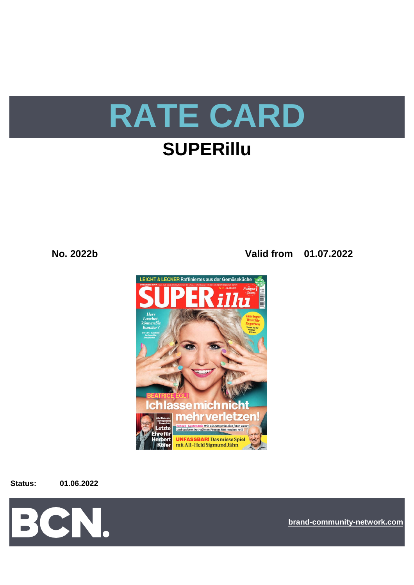

# **SUPERIIIu**

No. 2022b

Valid from 01.07.2022



**Status:** 

01.06.2022



brand-community-network.com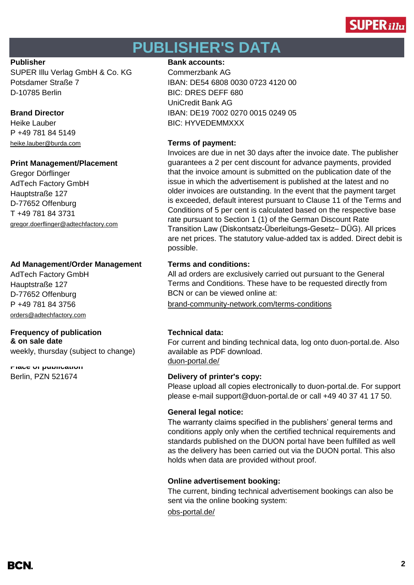

# **PUBLISHER'S DATA**

SUPER Illu Verlag GmbH & Co. KG Commerzbank AG D-10785 Berlin BIC: DRES DEFF 680

P +49 781 84 5149

### **Print Management/Placement**

Gregor Dörflinger AdTech Factory GmbH Hauptstraße 127 D-77652 Offenburg T +49 781 84 3731 [gregor.doerflinger@adtechfactory.com](mailto:gregor.doerflinger@adtechfactory.com)

## **Ad Management/Order Management Terms and conditions:**

AdTech Factory GmbH Hauptstraße 127 D-77652 Offenburg [orders@adtechfactory.com](mailto:orders@adtechfactory.com)

#### **Frequency of publication Technical data: & on sale date**

weekly, thursday (subject to change)

[duon-portal.de/](https://duon-portal.de/) **Place of publication**

### **Publisher Bank accounts: Bank accounts:**

Potsdamer Straße 7 IBAN: DE54 6808 0030 0723 4120 00 UniCredit Bank AG **Brand Director IBAN: DE19 7002 0270 0015 0249 05** Heike Lauber **BIC: HYVEDEMMXXX** 

## [heike.lauber@burda.com](mailto:heike.lauber@burda.com) **Terms of payment:**

Invoices are due in net 30 days after the invoice date. The publisher guarantees a 2 per cent discount for advance payments, provided that the invoice amount is submitted on the publication date of the issue in which the advertisement is published at the latest and no older invoices are outstanding. In the event that the payment target is exceeded, default interest pursuant to Clause 11 of the Terms and Conditions of 5 per cent is calculated based on the respective base rate pursuant to Section 1 (1) of the German Discount Rate Transition Law (Diskontsatz-Überleitungs-Gesetz– DÜG). All prices are net prices. The statutory value-added tax is added. Direct debit is possible.

All ad orders are exclusively carried out pursuant to the General Terms and Conditions. These have to be requested directly from BCN or can be viewed online at:

P +49 781 84 3756 [brand-community-network.com/terms-conditions](https://bcn.burda.com/terms-conditions)

For current and binding technical data, log onto duon-portal.de. Also available as PDF download.

## Berlin, PZN 521674 **Delivery of printer's copy:**

Please upload all copies electronically to duon-portal.de. For support please e-mail support@duon-portal.de or call +49 40 37 41 17 50.

## **General legal notice:**

The warranty claims specified in the publishers' general terms and conditions apply only when the certified technical requirements and standards published on the DUON portal have been fulfilled as well as the delivery has been carried out via the DUON portal. This also holds when data are provided without proof.

## **Online advertisement booking:**

The current, binding technical advertisement bookings can also be sent via the online booking system:

[obs-portal.de/](https://www.obs-portal.de/)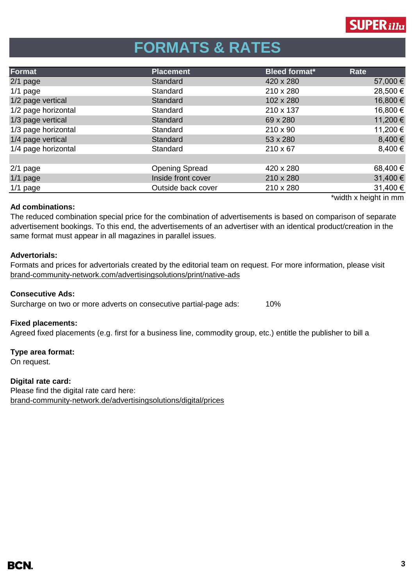

# **FORMATS & RATES**

| Format              | <b>Placement</b>      | <b>Bleed format*</b> | Rate                                         |
|---------------------|-----------------------|----------------------|----------------------------------------------|
| $2/1$ page          | Standard              | 420 x 280            | 57,000 €                                     |
| $1/1$ page          | Standard              | 210 x 280            | 28,500 €                                     |
| 1/2 page vertical   | Standard              | 102 x 280            | 16,800 €                                     |
| 1/2 page horizontal | Standard              | 210 x 137            | 16,800 €                                     |
| 1/3 page vertical   | Standard              | 69 x 280             | 11,200 €                                     |
| 1/3 page horizontal | Standard              | $210 \times 90$      | 11,200€                                      |
| 1/4 page vertical   | Standard              | 53 x 280             | 8,400 €                                      |
| 1/4 page horizontal | Standard              | $210 \times 67$      | 8,400 €                                      |
|                     |                       |                      |                                              |
| $2/1$ page          | <b>Opening Spread</b> | 420 x 280            | 68,400 €                                     |
| $1/1$ page          | Inside front cover    | 210 x 280            | 31,400€                                      |
| $1/1$ page          | Outside back cover    | 210 x 280            | 31,400 €                                     |
|                     |                       |                      | Model of the company of the first company of |

### **Ad combinations:**

width x height in mm

The reduced combination special price for the combination of advertisements is based on comparison of separate advertisement bookings. To this end, the advertisements of an advertiser with an identical product/creation in the same format must appear in all magazines in parallel issues.

## **Advertorials:**

[brand-community-network.com/advertisin](https://bcn.burda.com/advertisingsolutions/print/native-ads)gsolutions/print/native-ads Formats and prices for advertorials created by the editorial team on request. For more information, please visit

## **Consecutive Ads:**

Surcharge on two or more adverts on consecutive partial-page ads: 10%

## **Fixed placements:**

Agreed fixed placements (e.g. first for a business line, commodity group, etc.) entitle the publisher to bill a

## **Type area format:**

On request.

## **Digital rate card:**

Please find the digital rate card here: [brand-community-network.de/advertisingsolutions/digital/prices](https://bcn.burda.com/advertisingsolutions/digital/prices)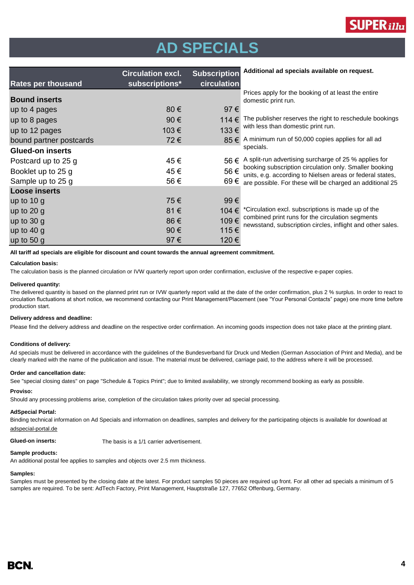

# **AD SPECIALS**

| <b>Rates per thousand</b> | <b>Circulation excl.</b><br>subscriptions* | <b>Subscription</b><br>circulation | Additional ad specials available on request.                                                                                                                                    |  |
|---------------------------|--------------------------------------------|------------------------------------|---------------------------------------------------------------------------------------------------------------------------------------------------------------------------------|--|
| <b>Bound inserts</b>      |                                            |                                    | Prices apply for the booking of at least the entire<br>domestic print run.                                                                                                      |  |
| up to 4 pages             | $80 \in$                                   | 97€                                |                                                                                                                                                                                 |  |
| up to 8 pages             | 90€                                        | 114 €                              | The publisher reserves the right to reschedule bookings                                                                                                                         |  |
| up to 12 pages            | 103€                                       | 133€                               | with less than domestic print run.                                                                                                                                              |  |
| bound partner postcards   | 72€                                        | 85€                                | A minimum run of 50,000 copies applies for all ad                                                                                                                               |  |
| <b>Glued-on inserts</b>   |                                            |                                    | specials.                                                                                                                                                                       |  |
| Postcard up to 25 g       | 45€                                        | 56€                                | A split-run advertising surcharge of 25 % applies for                                                                                                                           |  |
| Booklet up to 25 g        | 45€                                        | 56€                                | booking subscription circulation only. Smaller booking<br>units, e.g. according to Nielsen areas or federal states,<br>are possible. For these will be charged an additional 25 |  |
| Sample up to 25 g         | 56€                                        | 69€                                |                                                                                                                                                                                 |  |
| <b>Loose inserts</b>      |                                            |                                    |                                                                                                                                                                                 |  |
| up to $10 g$              | 75€                                        | 99€                                |                                                                                                                                                                                 |  |
| up to $20 g$              | 81€                                        | 104 €                              | *Circulation excl. subscriptions is made up of the                                                                                                                              |  |
| up to $30 g$              | 86€                                        | 109€                               | combined print runs for the circulation segments<br>newsstand, subscription circles, inflight and other sales.                                                                  |  |
| up to $40 g$              | 90€                                        | 115€                               |                                                                                                                                                                                 |  |
| up to $50 g$              | 97€                                        | 120€                               |                                                                                                                                                                                 |  |

**All tariff ad specials are eligible for discount and count towards the annual agreement commitment.**

#### **Calculation basis:**

The calculation basis is the planned circulation or IVW quarterly report upon order confirmation, exclusive of the respective e-paper copies.

#### **Delivered quantity:**

The delivered quantity is based on the planned print run or IVW quarterly report valid at the date of the order confirmation, plus 2 % surplus. In order to react to circulation fluctuations at short notice, we recommend contacting our Print Management/Placement (see "Your Personal Contacts" page) one more time before production start.

#### **Delivery address and deadline:**

Please find the delivery address and deadline on the respective order confirmation. An incoming goods inspection does not take place at the printing plant.

#### **Conditions of delivery:**

Ad specials must be delivered in accordance with the guidelines of the Bundesverband für Druck und Medien (German Association of Print and Media), and be clearly marked with the name of the publication and issue. The material must be delivered, carriage paid, to the address where it will be processed.

#### **Order and cancellation date:**

See "special closing dates" on page "Schedule & Topics Print"; due to limited availability, we strongly recommend booking as early as possible.

#### **Proviso:**

Should any processing problems arise, completion of the circulation takes priority over ad special processing.

#### **AdSpecial Portal:**

Binding technical information on Ad Specials and information on deadlines, samples and delivery for the participating objects is available for download at adspecial-portal.de

**Glued-on inserts:** The basis is a 1/1 carrier advertisement.

#### **Sample products:**

An additional postal fee applies to samples and objects over 2.5 mm thickness.

#### **Samples:**

Samples must be presented by the closing date at the latest. For product samples 50 pieces are required up front. For all other ad specials a minimum of 5 samples are required. To be sent: AdTech Factory, Print Management, Hauptstraße 127, 77652 Offenburg, Germany.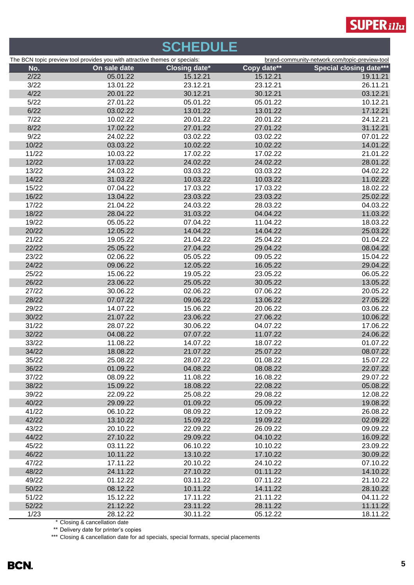

# **SCHEDULE**

| Copy date**<br><b>Closing date*</b><br>On sale date<br>No.<br>2/22<br>05.01.22<br>15.12.21<br>15.12.21<br>3/22<br>23.12.21<br>13.01.22<br>23.12.21<br>4/22<br>20.01.22<br>30.12.21<br>30.12.21<br>03.12.21<br>5/22<br>27.01.22<br>05.01.22<br>05.01.22<br>6/22<br>03.02.22<br>13.01.22<br>13.01.22<br>7/22<br>10.02.22<br>20.01.22<br>20.01.22<br>31.12.21<br>8/22<br>17.02.22<br>27.01.22<br>27.01.22<br>9/22<br>24.02.22<br>03.02.22<br>03.02.22<br>10/22<br>10.02.22<br>03.03.22<br>10.02.22<br>11/22<br>10.03.22<br>17.02.22<br>17.02.22<br>12/22<br>17.03.22<br>24.02.22<br>24.02.22<br>13/22<br>24.03.22<br>03.03.22<br>03.03.22<br>14/22<br>31.03.22<br>10.03.22<br>10.03.22<br>15/22<br>07.04.22<br>17.03.22<br>17.03.22<br>16/22<br>13.04.22<br>23.03.22<br>23.03.22<br>17/22<br>21.04.22<br>24.03.22<br>28.03.22<br>18/22<br>28.04.22<br>31.03.22<br>04.04.22<br>19/22<br>05.05.22<br>07.04.22<br>11.04.22<br>20/22<br>12.05.22<br>14.04.22<br>14.04.22<br>21/22<br>21.04.22<br>19.05.22<br>25.04.22<br>22/22<br>25.05.22<br>27.04.22<br>29.04.22<br>23/22<br>02.06.22<br>05.05.22<br>09.05.22<br>24/22<br>09.06.22<br>12.05.22<br>16.05.22<br>25/22<br>15.06.22<br>19.05.22<br>23.05.22<br>26/22<br>23.06.22<br>25.05.22<br>30.05.22<br>27/22<br>30.06.22<br>02.06.22<br>07.06.22<br>28/22<br>07.07.22<br>09.06.22<br>13.06.22<br>29/22<br>14.07.22<br>15.06.22<br>20.06.22<br>30/22<br>21.07.22<br>23.06.22<br>27.06.22<br>31/22<br>04.07.22<br>28.07.22<br>30.06.22<br>32/22<br>04.08.22<br>07.07.22<br>11.07.22<br>33/22<br>11.08.22<br>14.07.22<br>18.07.22<br>34/22<br>18.08.22<br>21.07.22<br>25.07.22<br>35/22<br>25.08.22<br>28.07.22<br>01.08.22<br>36/22<br>01.09.22<br>04.08.22<br>08.08.22<br>37/22<br>08.09.22<br>11.08.22<br>16.08.22<br>38/22<br>15.09.22<br>18.08.22<br>22.08.22<br>39/22<br>22.09.22<br>25.08.22<br>29.08.22<br>40/22<br>29.09.22<br>01.09.22<br>05.09.22<br>41/22<br>06.10.22<br>08.09.22<br>12.09.22<br>42/22<br>13.10.22<br>15.09.22<br>19.09.22<br>43/22<br>20.10.22<br>26.09.22<br>22.09.22<br>44/22<br>27.10.22<br>29.09.22<br>04.10.22<br>45/22<br>03.11.22<br>06.10.22<br>10.10.22<br>46/22<br>10.11.22<br>13.10.22<br>17.10.22<br>47/22<br>17.11.22<br>20.10.22<br>24.10.22<br>48/22<br>24.11.22<br>01.11.22<br>27.10.22<br>49/22<br>01.12.22<br>03.11.22<br>07.11.22<br>50/22<br>08.12.22<br>10.11.22<br>14.11.22<br>51/22<br>15.12.22<br>17.11.22<br>21.11.22<br>52/22<br>21.12.22<br>23.11.22<br>28.11.22<br>1/23<br>28.12.22<br>05.12.22<br>30.11.22<br>* Closing & cancellation date | The BCN topic preview tool provides you with attractive themes or specials: |  | brand-community-network.com/topic-preview-tool |  |                                |
|------------------------------------------------------------------------------------------------------------------------------------------------------------------------------------------------------------------------------------------------------------------------------------------------------------------------------------------------------------------------------------------------------------------------------------------------------------------------------------------------------------------------------------------------------------------------------------------------------------------------------------------------------------------------------------------------------------------------------------------------------------------------------------------------------------------------------------------------------------------------------------------------------------------------------------------------------------------------------------------------------------------------------------------------------------------------------------------------------------------------------------------------------------------------------------------------------------------------------------------------------------------------------------------------------------------------------------------------------------------------------------------------------------------------------------------------------------------------------------------------------------------------------------------------------------------------------------------------------------------------------------------------------------------------------------------------------------------------------------------------------------------------------------------------------------------------------------------------------------------------------------------------------------------------------------------------------------------------------------------------------------------------------------------------------------------------------------------------------------------------------------------------------------------------------------------------------------------------------------------------------------------------------------------------------------------------------------------------------------------------------------------------------------------------------------------------------------------------------------------------------------------------------------------------|-----------------------------------------------------------------------------|--|------------------------------------------------|--|--------------------------------|
| 19.11.21<br>26.11.21<br>10.12.21<br>17.12.21<br>24.12.21<br>07.01.22<br>14.01.22<br>21.01.22<br>28.01.22<br>04.02.22<br>11.02.22<br>18.02.22<br>25.02.22<br>04.03.22<br>11.03.22<br>18.03.22<br>25.03.22<br>01.04.22<br>08.04.22<br>15.04.22<br>29.04.22<br>06.05.22<br>13.05.22<br>20.05.22<br>27.05.22<br>03.06.22<br>10.06.22<br>17.06.22<br>24.06.22<br>01.07.22<br>08.07.22<br>15.07.22<br>22.07.22<br>29.07.22<br>05.08.22<br>12.08.22<br>19.08.22<br>26.08.22<br>02.09.22<br>09.09.22<br>16.09.22<br>23.09.22<br>30.09.22<br>07.10.22<br>14.10.22<br>21.10.22<br>28.10.22<br>04.11.22<br>11.11.22<br>18.11.22                                                                                                                                                                                                                                                                                                                                                                                                                                                                                                                                                                                                                                                                                                                                                                                                                                                                                                                                                                                                                                                                                                                                                                                                                                                                                                                                                                                                                                                                                                                                                                                                                                                                                                                                                                                                                                                                                                                           |                                                                             |  |                                                |  | <b>Special closing date***</b> |
|                                                                                                                                                                                                                                                                                                                                                                                                                                                                                                                                                                                                                                                                                                                                                                                                                                                                                                                                                                                                                                                                                                                                                                                                                                                                                                                                                                                                                                                                                                                                                                                                                                                                                                                                                                                                                                                                                                                                                                                                                                                                                                                                                                                                                                                                                                                                                                                                                                                                                                                                                |                                                                             |  |                                                |  |                                |
|                                                                                                                                                                                                                                                                                                                                                                                                                                                                                                                                                                                                                                                                                                                                                                                                                                                                                                                                                                                                                                                                                                                                                                                                                                                                                                                                                                                                                                                                                                                                                                                                                                                                                                                                                                                                                                                                                                                                                                                                                                                                                                                                                                                                                                                                                                                                                                                                                                                                                                                                                |                                                                             |  |                                                |  |                                |
|                                                                                                                                                                                                                                                                                                                                                                                                                                                                                                                                                                                                                                                                                                                                                                                                                                                                                                                                                                                                                                                                                                                                                                                                                                                                                                                                                                                                                                                                                                                                                                                                                                                                                                                                                                                                                                                                                                                                                                                                                                                                                                                                                                                                                                                                                                                                                                                                                                                                                                                                                |                                                                             |  |                                                |  |                                |
|                                                                                                                                                                                                                                                                                                                                                                                                                                                                                                                                                                                                                                                                                                                                                                                                                                                                                                                                                                                                                                                                                                                                                                                                                                                                                                                                                                                                                                                                                                                                                                                                                                                                                                                                                                                                                                                                                                                                                                                                                                                                                                                                                                                                                                                                                                                                                                                                                                                                                                                                                |                                                                             |  |                                                |  |                                |
|                                                                                                                                                                                                                                                                                                                                                                                                                                                                                                                                                                                                                                                                                                                                                                                                                                                                                                                                                                                                                                                                                                                                                                                                                                                                                                                                                                                                                                                                                                                                                                                                                                                                                                                                                                                                                                                                                                                                                                                                                                                                                                                                                                                                                                                                                                                                                                                                                                                                                                                                                |                                                                             |  |                                                |  |                                |
|                                                                                                                                                                                                                                                                                                                                                                                                                                                                                                                                                                                                                                                                                                                                                                                                                                                                                                                                                                                                                                                                                                                                                                                                                                                                                                                                                                                                                                                                                                                                                                                                                                                                                                                                                                                                                                                                                                                                                                                                                                                                                                                                                                                                                                                                                                                                                                                                                                                                                                                                                |                                                                             |  |                                                |  |                                |
|                                                                                                                                                                                                                                                                                                                                                                                                                                                                                                                                                                                                                                                                                                                                                                                                                                                                                                                                                                                                                                                                                                                                                                                                                                                                                                                                                                                                                                                                                                                                                                                                                                                                                                                                                                                                                                                                                                                                                                                                                                                                                                                                                                                                                                                                                                                                                                                                                                                                                                                                                |                                                                             |  |                                                |  |                                |
|                                                                                                                                                                                                                                                                                                                                                                                                                                                                                                                                                                                                                                                                                                                                                                                                                                                                                                                                                                                                                                                                                                                                                                                                                                                                                                                                                                                                                                                                                                                                                                                                                                                                                                                                                                                                                                                                                                                                                                                                                                                                                                                                                                                                                                                                                                                                                                                                                                                                                                                                                |                                                                             |  |                                                |  |                                |
|                                                                                                                                                                                                                                                                                                                                                                                                                                                                                                                                                                                                                                                                                                                                                                                                                                                                                                                                                                                                                                                                                                                                                                                                                                                                                                                                                                                                                                                                                                                                                                                                                                                                                                                                                                                                                                                                                                                                                                                                                                                                                                                                                                                                                                                                                                                                                                                                                                                                                                                                                |                                                                             |  |                                                |  |                                |
|                                                                                                                                                                                                                                                                                                                                                                                                                                                                                                                                                                                                                                                                                                                                                                                                                                                                                                                                                                                                                                                                                                                                                                                                                                                                                                                                                                                                                                                                                                                                                                                                                                                                                                                                                                                                                                                                                                                                                                                                                                                                                                                                                                                                                                                                                                                                                                                                                                                                                                                                                |                                                                             |  |                                                |  |                                |
|                                                                                                                                                                                                                                                                                                                                                                                                                                                                                                                                                                                                                                                                                                                                                                                                                                                                                                                                                                                                                                                                                                                                                                                                                                                                                                                                                                                                                                                                                                                                                                                                                                                                                                                                                                                                                                                                                                                                                                                                                                                                                                                                                                                                                                                                                                                                                                                                                                                                                                                                                |                                                                             |  |                                                |  |                                |
|                                                                                                                                                                                                                                                                                                                                                                                                                                                                                                                                                                                                                                                                                                                                                                                                                                                                                                                                                                                                                                                                                                                                                                                                                                                                                                                                                                                                                                                                                                                                                                                                                                                                                                                                                                                                                                                                                                                                                                                                                                                                                                                                                                                                                                                                                                                                                                                                                                                                                                                                                |                                                                             |  |                                                |  |                                |
|                                                                                                                                                                                                                                                                                                                                                                                                                                                                                                                                                                                                                                                                                                                                                                                                                                                                                                                                                                                                                                                                                                                                                                                                                                                                                                                                                                                                                                                                                                                                                                                                                                                                                                                                                                                                                                                                                                                                                                                                                                                                                                                                                                                                                                                                                                                                                                                                                                                                                                                                                |                                                                             |  |                                                |  |                                |
|                                                                                                                                                                                                                                                                                                                                                                                                                                                                                                                                                                                                                                                                                                                                                                                                                                                                                                                                                                                                                                                                                                                                                                                                                                                                                                                                                                                                                                                                                                                                                                                                                                                                                                                                                                                                                                                                                                                                                                                                                                                                                                                                                                                                                                                                                                                                                                                                                                                                                                                                                |                                                                             |  |                                                |  |                                |
|                                                                                                                                                                                                                                                                                                                                                                                                                                                                                                                                                                                                                                                                                                                                                                                                                                                                                                                                                                                                                                                                                                                                                                                                                                                                                                                                                                                                                                                                                                                                                                                                                                                                                                                                                                                                                                                                                                                                                                                                                                                                                                                                                                                                                                                                                                                                                                                                                                                                                                                                                |                                                                             |  |                                                |  |                                |
|                                                                                                                                                                                                                                                                                                                                                                                                                                                                                                                                                                                                                                                                                                                                                                                                                                                                                                                                                                                                                                                                                                                                                                                                                                                                                                                                                                                                                                                                                                                                                                                                                                                                                                                                                                                                                                                                                                                                                                                                                                                                                                                                                                                                                                                                                                                                                                                                                                                                                                                                                |                                                                             |  |                                                |  |                                |
|                                                                                                                                                                                                                                                                                                                                                                                                                                                                                                                                                                                                                                                                                                                                                                                                                                                                                                                                                                                                                                                                                                                                                                                                                                                                                                                                                                                                                                                                                                                                                                                                                                                                                                                                                                                                                                                                                                                                                                                                                                                                                                                                                                                                                                                                                                                                                                                                                                                                                                                                                |                                                                             |  |                                                |  |                                |
|                                                                                                                                                                                                                                                                                                                                                                                                                                                                                                                                                                                                                                                                                                                                                                                                                                                                                                                                                                                                                                                                                                                                                                                                                                                                                                                                                                                                                                                                                                                                                                                                                                                                                                                                                                                                                                                                                                                                                                                                                                                                                                                                                                                                                                                                                                                                                                                                                                                                                                                                                |                                                                             |  |                                                |  |                                |
|                                                                                                                                                                                                                                                                                                                                                                                                                                                                                                                                                                                                                                                                                                                                                                                                                                                                                                                                                                                                                                                                                                                                                                                                                                                                                                                                                                                                                                                                                                                                                                                                                                                                                                                                                                                                                                                                                                                                                                                                                                                                                                                                                                                                                                                                                                                                                                                                                                                                                                                                                |                                                                             |  |                                                |  |                                |
|                                                                                                                                                                                                                                                                                                                                                                                                                                                                                                                                                                                                                                                                                                                                                                                                                                                                                                                                                                                                                                                                                                                                                                                                                                                                                                                                                                                                                                                                                                                                                                                                                                                                                                                                                                                                                                                                                                                                                                                                                                                                                                                                                                                                                                                                                                                                                                                                                                                                                                                                                |                                                                             |  |                                                |  |                                |
|                                                                                                                                                                                                                                                                                                                                                                                                                                                                                                                                                                                                                                                                                                                                                                                                                                                                                                                                                                                                                                                                                                                                                                                                                                                                                                                                                                                                                                                                                                                                                                                                                                                                                                                                                                                                                                                                                                                                                                                                                                                                                                                                                                                                                                                                                                                                                                                                                                                                                                                                                |                                                                             |  |                                                |  |                                |
|                                                                                                                                                                                                                                                                                                                                                                                                                                                                                                                                                                                                                                                                                                                                                                                                                                                                                                                                                                                                                                                                                                                                                                                                                                                                                                                                                                                                                                                                                                                                                                                                                                                                                                                                                                                                                                                                                                                                                                                                                                                                                                                                                                                                                                                                                                                                                                                                                                                                                                                                                |                                                                             |  |                                                |  |                                |
|                                                                                                                                                                                                                                                                                                                                                                                                                                                                                                                                                                                                                                                                                                                                                                                                                                                                                                                                                                                                                                                                                                                                                                                                                                                                                                                                                                                                                                                                                                                                                                                                                                                                                                                                                                                                                                                                                                                                                                                                                                                                                                                                                                                                                                                                                                                                                                                                                                                                                                                                                |                                                                             |  |                                                |  |                                |
|                                                                                                                                                                                                                                                                                                                                                                                                                                                                                                                                                                                                                                                                                                                                                                                                                                                                                                                                                                                                                                                                                                                                                                                                                                                                                                                                                                                                                                                                                                                                                                                                                                                                                                                                                                                                                                                                                                                                                                                                                                                                                                                                                                                                                                                                                                                                                                                                                                                                                                                                                |                                                                             |  |                                                |  |                                |
|                                                                                                                                                                                                                                                                                                                                                                                                                                                                                                                                                                                                                                                                                                                                                                                                                                                                                                                                                                                                                                                                                                                                                                                                                                                                                                                                                                                                                                                                                                                                                                                                                                                                                                                                                                                                                                                                                                                                                                                                                                                                                                                                                                                                                                                                                                                                                                                                                                                                                                                                                |                                                                             |  |                                                |  |                                |
|                                                                                                                                                                                                                                                                                                                                                                                                                                                                                                                                                                                                                                                                                                                                                                                                                                                                                                                                                                                                                                                                                                                                                                                                                                                                                                                                                                                                                                                                                                                                                                                                                                                                                                                                                                                                                                                                                                                                                                                                                                                                                                                                                                                                                                                                                                                                                                                                                                                                                                                                                |                                                                             |  |                                                |  |                                |
|                                                                                                                                                                                                                                                                                                                                                                                                                                                                                                                                                                                                                                                                                                                                                                                                                                                                                                                                                                                                                                                                                                                                                                                                                                                                                                                                                                                                                                                                                                                                                                                                                                                                                                                                                                                                                                                                                                                                                                                                                                                                                                                                                                                                                                                                                                                                                                                                                                                                                                                                                |                                                                             |  |                                                |  |                                |
|                                                                                                                                                                                                                                                                                                                                                                                                                                                                                                                                                                                                                                                                                                                                                                                                                                                                                                                                                                                                                                                                                                                                                                                                                                                                                                                                                                                                                                                                                                                                                                                                                                                                                                                                                                                                                                                                                                                                                                                                                                                                                                                                                                                                                                                                                                                                                                                                                                                                                                                                                |                                                                             |  |                                                |  |                                |
|                                                                                                                                                                                                                                                                                                                                                                                                                                                                                                                                                                                                                                                                                                                                                                                                                                                                                                                                                                                                                                                                                                                                                                                                                                                                                                                                                                                                                                                                                                                                                                                                                                                                                                                                                                                                                                                                                                                                                                                                                                                                                                                                                                                                                                                                                                                                                                                                                                                                                                                                                |                                                                             |  |                                                |  |                                |
|                                                                                                                                                                                                                                                                                                                                                                                                                                                                                                                                                                                                                                                                                                                                                                                                                                                                                                                                                                                                                                                                                                                                                                                                                                                                                                                                                                                                                                                                                                                                                                                                                                                                                                                                                                                                                                                                                                                                                                                                                                                                                                                                                                                                                                                                                                                                                                                                                                                                                                                                                |                                                                             |  |                                                |  |                                |
|                                                                                                                                                                                                                                                                                                                                                                                                                                                                                                                                                                                                                                                                                                                                                                                                                                                                                                                                                                                                                                                                                                                                                                                                                                                                                                                                                                                                                                                                                                                                                                                                                                                                                                                                                                                                                                                                                                                                                                                                                                                                                                                                                                                                                                                                                                                                                                                                                                                                                                                                                |                                                                             |  |                                                |  |                                |
|                                                                                                                                                                                                                                                                                                                                                                                                                                                                                                                                                                                                                                                                                                                                                                                                                                                                                                                                                                                                                                                                                                                                                                                                                                                                                                                                                                                                                                                                                                                                                                                                                                                                                                                                                                                                                                                                                                                                                                                                                                                                                                                                                                                                                                                                                                                                                                                                                                                                                                                                                |                                                                             |  |                                                |  |                                |
|                                                                                                                                                                                                                                                                                                                                                                                                                                                                                                                                                                                                                                                                                                                                                                                                                                                                                                                                                                                                                                                                                                                                                                                                                                                                                                                                                                                                                                                                                                                                                                                                                                                                                                                                                                                                                                                                                                                                                                                                                                                                                                                                                                                                                                                                                                                                                                                                                                                                                                                                                |                                                                             |  |                                                |  |                                |
|                                                                                                                                                                                                                                                                                                                                                                                                                                                                                                                                                                                                                                                                                                                                                                                                                                                                                                                                                                                                                                                                                                                                                                                                                                                                                                                                                                                                                                                                                                                                                                                                                                                                                                                                                                                                                                                                                                                                                                                                                                                                                                                                                                                                                                                                                                                                                                                                                                                                                                                                                |                                                                             |  |                                                |  |                                |
|                                                                                                                                                                                                                                                                                                                                                                                                                                                                                                                                                                                                                                                                                                                                                                                                                                                                                                                                                                                                                                                                                                                                                                                                                                                                                                                                                                                                                                                                                                                                                                                                                                                                                                                                                                                                                                                                                                                                                                                                                                                                                                                                                                                                                                                                                                                                                                                                                                                                                                                                                |                                                                             |  |                                                |  |                                |
|                                                                                                                                                                                                                                                                                                                                                                                                                                                                                                                                                                                                                                                                                                                                                                                                                                                                                                                                                                                                                                                                                                                                                                                                                                                                                                                                                                                                                                                                                                                                                                                                                                                                                                                                                                                                                                                                                                                                                                                                                                                                                                                                                                                                                                                                                                                                                                                                                                                                                                                                                |                                                                             |  |                                                |  |                                |
|                                                                                                                                                                                                                                                                                                                                                                                                                                                                                                                                                                                                                                                                                                                                                                                                                                                                                                                                                                                                                                                                                                                                                                                                                                                                                                                                                                                                                                                                                                                                                                                                                                                                                                                                                                                                                                                                                                                                                                                                                                                                                                                                                                                                                                                                                                                                                                                                                                                                                                                                                |                                                                             |  |                                                |  |                                |
|                                                                                                                                                                                                                                                                                                                                                                                                                                                                                                                                                                                                                                                                                                                                                                                                                                                                                                                                                                                                                                                                                                                                                                                                                                                                                                                                                                                                                                                                                                                                                                                                                                                                                                                                                                                                                                                                                                                                                                                                                                                                                                                                                                                                                                                                                                                                                                                                                                                                                                                                                |                                                                             |  |                                                |  |                                |
|                                                                                                                                                                                                                                                                                                                                                                                                                                                                                                                                                                                                                                                                                                                                                                                                                                                                                                                                                                                                                                                                                                                                                                                                                                                                                                                                                                                                                                                                                                                                                                                                                                                                                                                                                                                                                                                                                                                                                                                                                                                                                                                                                                                                                                                                                                                                                                                                                                                                                                                                                |                                                                             |  |                                                |  |                                |
|                                                                                                                                                                                                                                                                                                                                                                                                                                                                                                                                                                                                                                                                                                                                                                                                                                                                                                                                                                                                                                                                                                                                                                                                                                                                                                                                                                                                                                                                                                                                                                                                                                                                                                                                                                                                                                                                                                                                                                                                                                                                                                                                                                                                                                                                                                                                                                                                                                                                                                                                                |                                                                             |  |                                                |  |                                |
|                                                                                                                                                                                                                                                                                                                                                                                                                                                                                                                                                                                                                                                                                                                                                                                                                                                                                                                                                                                                                                                                                                                                                                                                                                                                                                                                                                                                                                                                                                                                                                                                                                                                                                                                                                                                                                                                                                                                                                                                                                                                                                                                                                                                                                                                                                                                                                                                                                                                                                                                                |                                                                             |  |                                                |  |                                |
|                                                                                                                                                                                                                                                                                                                                                                                                                                                                                                                                                                                                                                                                                                                                                                                                                                                                                                                                                                                                                                                                                                                                                                                                                                                                                                                                                                                                                                                                                                                                                                                                                                                                                                                                                                                                                                                                                                                                                                                                                                                                                                                                                                                                                                                                                                                                                                                                                                                                                                                                                |                                                                             |  |                                                |  |                                |
|                                                                                                                                                                                                                                                                                                                                                                                                                                                                                                                                                                                                                                                                                                                                                                                                                                                                                                                                                                                                                                                                                                                                                                                                                                                                                                                                                                                                                                                                                                                                                                                                                                                                                                                                                                                                                                                                                                                                                                                                                                                                                                                                                                                                                                                                                                                                                                                                                                                                                                                                                |                                                                             |  |                                                |  |                                |
|                                                                                                                                                                                                                                                                                                                                                                                                                                                                                                                                                                                                                                                                                                                                                                                                                                                                                                                                                                                                                                                                                                                                                                                                                                                                                                                                                                                                                                                                                                                                                                                                                                                                                                                                                                                                                                                                                                                                                                                                                                                                                                                                                                                                                                                                                                                                                                                                                                                                                                                                                |                                                                             |  |                                                |  |                                |
|                                                                                                                                                                                                                                                                                                                                                                                                                                                                                                                                                                                                                                                                                                                                                                                                                                                                                                                                                                                                                                                                                                                                                                                                                                                                                                                                                                                                                                                                                                                                                                                                                                                                                                                                                                                                                                                                                                                                                                                                                                                                                                                                                                                                                                                                                                                                                                                                                                                                                                                                                |                                                                             |  |                                                |  |                                |
|                                                                                                                                                                                                                                                                                                                                                                                                                                                                                                                                                                                                                                                                                                                                                                                                                                                                                                                                                                                                                                                                                                                                                                                                                                                                                                                                                                                                                                                                                                                                                                                                                                                                                                                                                                                                                                                                                                                                                                                                                                                                                                                                                                                                                                                                                                                                                                                                                                                                                                                                                |                                                                             |  |                                                |  |                                |
|                                                                                                                                                                                                                                                                                                                                                                                                                                                                                                                                                                                                                                                                                                                                                                                                                                                                                                                                                                                                                                                                                                                                                                                                                                                                                                                                                                                                                                                                                                                                                                                                                                                                                                                                                                                                                                                                                                                                                                                                                                                                                                                                                                                                                                                                                                                                                                                                                                                                                                                                                |                                                                             |  |                                                |  |                                |
|                                                                                                                                                                                                                                                                                                                                                                                                                                                                                                                                                                                                                                                                                                                                                                                                                                                                                                                                                                                                                                                                                                                                                                                                                                                                                                                                                                                                                                                                                                                                                                                                                                                                                                                                                                                                                                                                                                                                                                                                                                                                                                                                                                                                                                                                                                                                                                                                                                                                                                                                                |                                                                             |  |                                                |  |                                |
|                                                                                                                                                                                                                                                                                                                                                                                                                                                                                                                                                                                                                                                                                                                                                                                                                                                                                                                                                                                                                                                                                                                                                                                                                                                                                                                                                                                                                                                                                                                                                                                                                                                                                                                                                                                                                                                                                                                                                                                                                                                                                                                                                                                                                                                                                                                                                                                                                                                                                                                                                |                                                                             |  |                                                |  |                                |
|                                                                                                                                                                                                                                                                                                                                                                                                                                                                                                                                                                                                                                                                                                                                                                                                                                                                                                                                                                                                                                                                                                                                                                                                                                                                                                                                                                                                                                                                                                                                                                                                                                                                                                                                                                                                                                                                                                                                                                                                                                                                                                                                                                                                                                                                                                                                                                                                                                                                                                                                                |                                                                             |  |                                                |  |                                |
|                                                                                                                                                                                                                                                                                                                                                                                                                                                                                                                                                                                                                                                                                                                                                                                                                                                                                                                                                                                                                                                                                                                                                                                                                                                                                                                                                                                                                                                                                                                                                                                                                                                                                                                                                                                                                                                                                                                                                                                                                                                                                                                                                                                                                                                                                                                                                                                                                                                                                                                                                |                                                                             |  |                                                |  |                                |
|                                                                                                                                                                                                                                                                                                                                                                                                                                                                                                                                                                                                                                                                                                                                                                                                                                                                                                                                                                                                                                                                                                                                                                                                                                                                                                                                                                                                                                                                                                                                                                                                                                                                                                                                                                                                                                                                                                                                                                                                                                                                                                                                                                                                                                                                                                                                                                                                                                                                                                                                                |                                                                             |  |                                                |  |                                |

\*\* Delivery date for printer's copies

\*\*\* Closing & cancellation date for ad specials, special formats, special placements